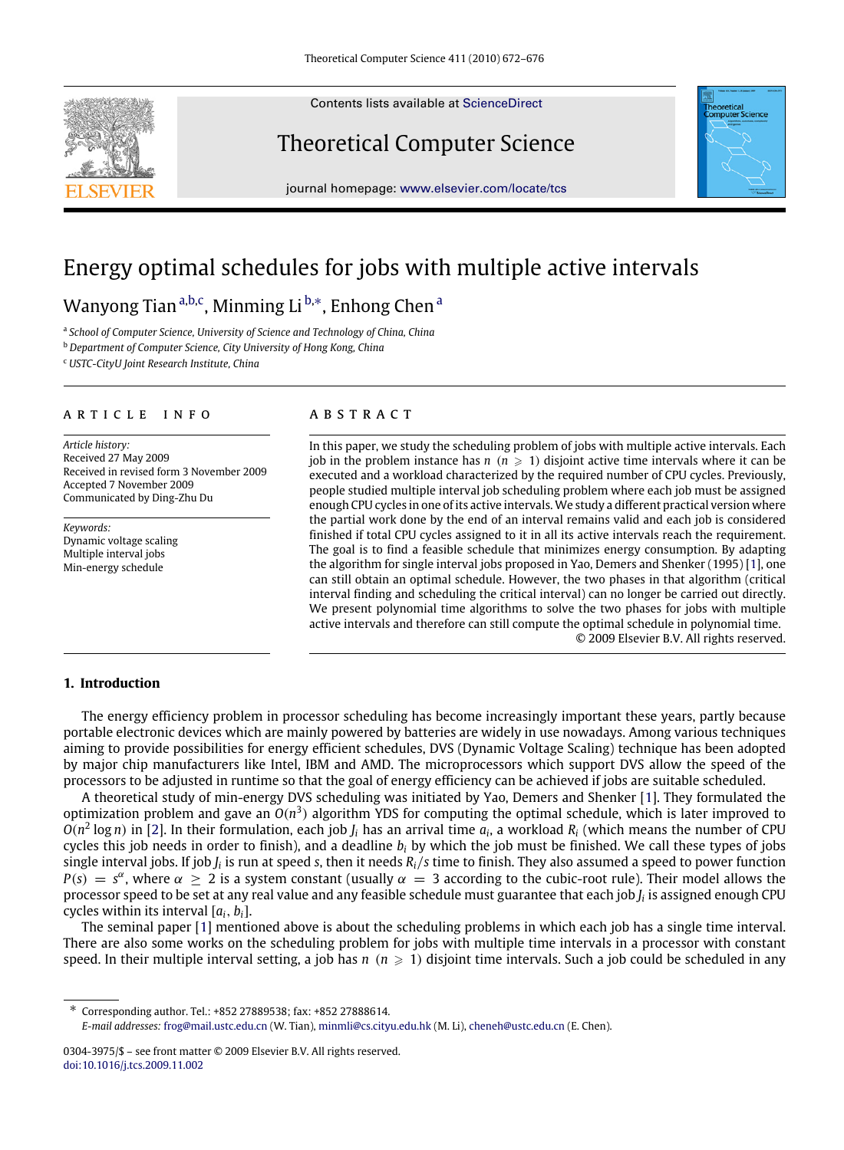Contents lists available at [ScienceDirect](http://www.elsevier.com/locate/tcs)

## Theoretical Computer Science

journal homepage: [www.elsevier.com/locate/tcs](http://www.elsevier.com/locate/tcs)

# Energy optimal schedules for jobs with multiple active intervals

### Wanyong Tian <sup>[a,](#page-0-0)[b,](#page-0-1)[c](#page-0-2)</sup>, Minming Li <sup>b,[∗](#page-0-3)</sup>, Enhong Chen <sup>[a](#page-0-0)</sup>

<span id="page-0-0"></span><sup>a</sup> School of Computer Science, University of Science and Technology of China, China

<span id="page-0-1"></span><sup>b</sup> *Department of Computer Science, City University of Hong Kong, China*

<span id="page-0-2"></span><sup>c</sup> *USTC-CityU Joint Research Institute, China*

#### a r t i c l e i n f o

*Article history:* Received 27 May 2009 Received in revised form 3 November 2009 Accepted 7 November 2009 Communicated by Ding-Zhu Du

*Keywords:* Dynamic voltage scaling Multiple interval jobs Min-energy schedule

#### a b s t r a c t

In this paper, we study the scheduling problem of jobs with multiple active intervals. Each job in the problem instance has  $n \, (n \geq 1)$  disjoint active time intervals where it can be executed and a workload characterized by the required number of CPU cycles. Previously, people studied multiple interval job scheduling problem where each job must be assigned enough CPU cycles in one of its active intervals.We study a different practical version where the partial work done by the end of an interval remains valid and each job is considered finished if total CPU cycles assigned to it in all its active intervals reach the requirement. The goal is to find a feasible schedule that minimizes energy consumption. By adapting the algorithm for single interval jobs proposed in Yao, Demers and Shenker (1995) [\[1\]](#page-4-0), one can still obtain an optimal schedule. However, the two phases in that algorithm (critical interval finding and scheduling the critical interval) can no longer be carried out directly. We present polynomial time algorithms to solve the two phases for jobs with multiple active intervals and therefore can still compute the optimal schedule in polynomial time. © 2009 Elsevier B.V. All rights reserved.

#### **1. Introduction**

The energy efficiency problem in processor scheduling has become increasingly important these years, partly because portable electronic devices which are mainly powered by batteries are widely in use nowadays. Among various techniques aiming to provide possibilities for energy efficient schedules, DVS (Dynamic Voltage Scaling) technique has been adopted by major chip manufacturers like Intel, IBM and AMD. The microprocessors which support DVS allow the speed of the processors to be adjusted in runtime so that the goal of energy efficiency can be achieved if jobs are suitable scheduled.

A theoretical study of min-energy DVS scheduling was initiated by Yao, Demers and Shenker [\[1\]](#page-4-1). They formulated the optimization problem and gave an  $O(n^3)$  algorithm YDS for computing the optimal schedule, which is later improved to  $O(n^2 \log n)$  in [\[2\]](#page-4-2). In their formulation, each job *J<sub>i</sub>* has an arrival time  $a_i$ , a workload  $R_i$  (which means the number of CPU cycles this job needs in order to finish), and a deadline  $b_i$  by which the job must be finished. We call these types of jobs single interval jobs. If job *J<sub>i</sub>* is run at speed *s*, then it needs  $R_i/s$  time to finish. They also assumed a speed to power function  $P(s) = s^{\alpha}$ , where  $\alpha \ge 2$  is a system constant (usually  $\alpha = 3$  according to the cubic-root rule). Their model allows the processor speed to be set at any real value and any feasible schedule must guarantee that each job *J<sup>i</sup>* is assigned enough CPU cycles within its interval [*ai*, *bi*].

The seminal paper [\[1\]](#page-4-1) mentioned above is about the scheduling problems in which each job has a single time interval. There are also some works on the scheduling problem for jobs with multiple time intervals in a processor with constant speed. In their multiple interval setting, a job has  $n \, (n \geq 1)$  disjoint time intervals. Such a job could be scheduled in any

<span id="page-0-3"></span>∗ Corresponding author. Tel.: +852 27889538; fax: +852 27888614.

*E-mail addresses:* [frog@mail.ustc.edu.cn](mailto:frog@mail.ustc.edu.cn) (W. Tian), [minmli@cs.cityu.edu.hk](mailto:minmli@cs.cityu.edu.hk) (M. Li), [cheneh@ustc.edu.cn](mailto:cheneh@ustc.edu.cn) (E. Chen).





<sup>0304-3975/\$ –</sup> see front matter © 2009 Elsevier B.V. All rights reserved. [doi:10.1016/j.tcs.2009.11.002](http://dx.doi.org/10.1016/j.tcs.2009.11.002)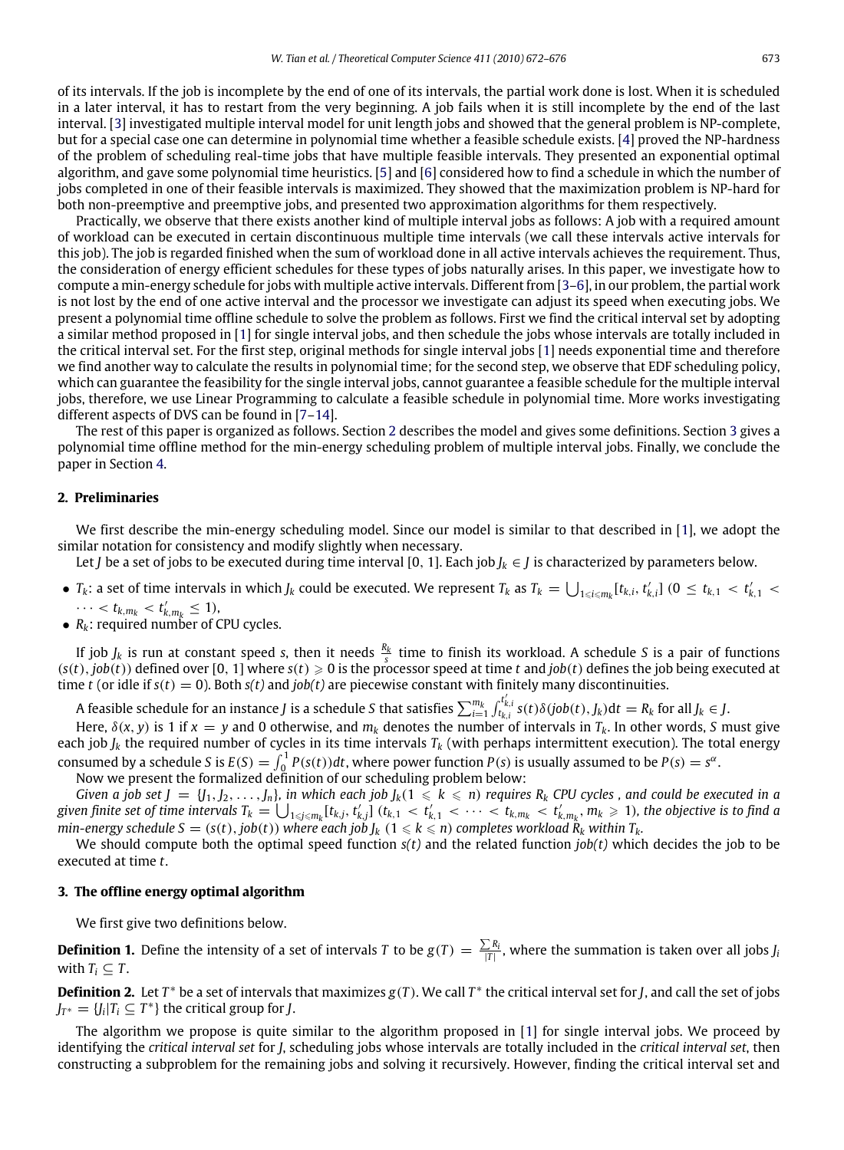of its intervals. If the job is incomplete by the end of one of its intervals, the partial work done is lost. When it is scheduled in a later interval, it has to restart from the very beginning. A job fails when it is still incomplete by the end of the last interval. [\[3\]](#page-4-3) investigated multiple interval model for unit length jobs and showed that the general problem is NP-complete, but for a special case one can determine in polynomial time whether a feasible schedule exists. [\[4\]](#page-4-4) proved the NP-hardness of the problem of scheduling real-time jobs that have multiple feasible intervals. They presented an exponential optimal algorithm, and gave some polynomial time heuristics. [\[5\]](#page-4-5) and [\[6\]](#page-4-6) considered how to find a schedule in which the number of jobs completed in one of their feasible intervals is maximized. They showed that the maximization problem is NP-hard for both non-preemptive and preemptive jobs, and presented two approximation algorithms for them respectively.

Practically, we observe that there exists another kind of multiple interval jobs as follows: A job with a required amount of workload can be executed in certain discontinuous multiple time intervals (we call these intervals active intervals for this job). The job is regarded finished when the sum of workload done in all active intervals achieves the requirement. Thus, the consideration of energy efficient schedules for these types of jobs naturally arises. In this paper, we investigate how to compute a min-energy schedule for jobs with multiple active intervals. Different from [\[3](#page-4-3)[–6\]](#page-4-6), in our problem, the partial work is not lost by the end of one active interval and the processor we investigate can adjust its speed when executing jobs. We present a polynomial time offline schedule to solve the problem as follows. First we find the critical interval set by adopting a similar method proposed in [\[1\]](#page-4-1) for single interval jobs, and then schedule the jobs whose intervals are totally included in the critical interval set. For the first step, original methods for single interval jobs [\[1\]](#page-4-1) needs exponential time and therefore we find another way to calculate the results in polynomial time; for the second step, we observe that EDF scheduling policy, which can guarantee the feasibility for the single interval jobs, cannot guarantee a feasible schedule for the multiple interval jobs, therefore, we use Linear Programming to calculate a feasible schedule in polynomial time. More works investigating different aspects of DVS can be found in [\[7](#page-4-7)[–14\]](#page-4-8).

The rest of this paper is organized as follows. Section [2](#page-1-0) describes the model and gives some definitions. Section [3](#page-1-1) gives a polynomial time offline method for the min-energy scheduling problem of multiple interval jobs. Finally, we conclude the paper in Section [4.](#page-4-9)

#### <span id="page-1-0"></span>**2. Preliminaries**

We first describe the min-energy scheduling model. Since our model is similar to that described in [\[1\]](#page-4-1), we adopt the similar notation for consistency and modify slightly when necessary.

- Let *J* be a set of jobs to be executed during time interval [0, 1]. Each job *J<sup>k</sup>* ∈ *J* is characterized by parameters below.
- $T_k$ : a set of time intervals in which  $J_k$  could be executed. We represent  $T_k$  as  $T_k = \bigcup_{1 \leq i \leq m_k} [t_{k,i}, t'_{k,i}]$  ( $0 \leq t_{k,1} < t'_{k,1}$ )  $\cdots < t_{k,m_k} < t'_{k,m_k} \leq 1$
- *Rk*: required number of CPU cycles.

If job  $J_k$  is run at constant speed *s*, then it needs  $\frac{R_k}{s}$  time to finish its workload. A schedule *S* is a pair of functions  $(s(t), job(t))$  defined over [0, 1] where  $s(t) \ge 0$  is the processor speed at time *t* and  $job(t)$  defines the job being executed at time *t* (or idle if  $s(t) = 0$ ). Both  $s(t)$  and  $job(t)$  are piecewise constant with finitely many discontinuities.

A feasible schedule for an instance J is a schedule S that satisfies  $\sum_{i=1}^{m_k} \int_{t_{k,i}}^{t'_{k,i}} s(t) \delta(\mathrm{job}(t), J_k) dt = R_k$  for all  $J_k \in J$ .

Here,  $\delta(x, y)$  is 1 if  $x = y$  and 0 otherwise, and  $m_k$  denotes the number of intervals in  $T_k$ . In other words, S must give each job  $J_k$  the required number of cycles in its time intervals  $T_k$  (with perhaps intermittent execution). The total energy consumed by a schedule *S* is  $E(S) = \int_0^1 P(s(t))dt$ , where power function *P*(*s*) is usually assumed to be *P*(*s*) = *s<sup>α</sup>*.

Now we present the formalized definition of our scheduling problem below:

*Given a job set*  $J = \{J_1, J_2, \ldots, J_n\}$ *, in which each job*  $J_k(1 \leq k \leq n)$  *requires*  $R_k$  *CPU cycles , and could be executed in a* given finite set of time intervals  $T_k = \bigcup_{1 \leq j \leq m_k} [t_{k,j}, t_{k,j}']$   $(t_{k,1} < t_{k,1}' < \cdots < t_{k,m_k} < t_{k,m_k}', m_k \geq 1)$ , the objective is to find a *min-energy schedule*  $S = (s(t), job(t))$  *where each job*  $J_k$  ( $1 \le k \le n$ ) *completes workload*  $\ddot{R}_k$  *within*  $T_k$ *.* 

We should compute both the optimal speed function *s(t)* and the related function *job(t)* which decides the job to be executed at time *t*.

#### <span id="page-1-1"></span>**3. The offline energy optimal algorithm**

We first give two definitions below.

**Definition 1.** Define the intensity of a set of intervals *T* to be  $g(T) = \frac{\sum R_i}{|T|}$ , where the summation is taken over all jobs *J*<sub>i</sub> with  $T_i \subset T$ .

**Definition 2.** Let *T*<sup>\*</sup> be a set of intervals that maximizes  $g(T)$ . We call *T*<sup>\*</sup> the critical interval set for *J*, and call the set of jobs  $J_{T^*} = \{J_i | T_i \subseteq T^*\}$  the critical group for *J*.

The algorithm we propose is quite similar to the algorithm proposed in [\[1\]](#page-4-1) for single interval jobs. We proceed by identifying the *critical interval set* for *J*, scheduling jobs whose intervals are totally included in the *critical interval set*, then constructing a subproblem for the remaining jobs and solving it recursively. However, finding the critical interval set and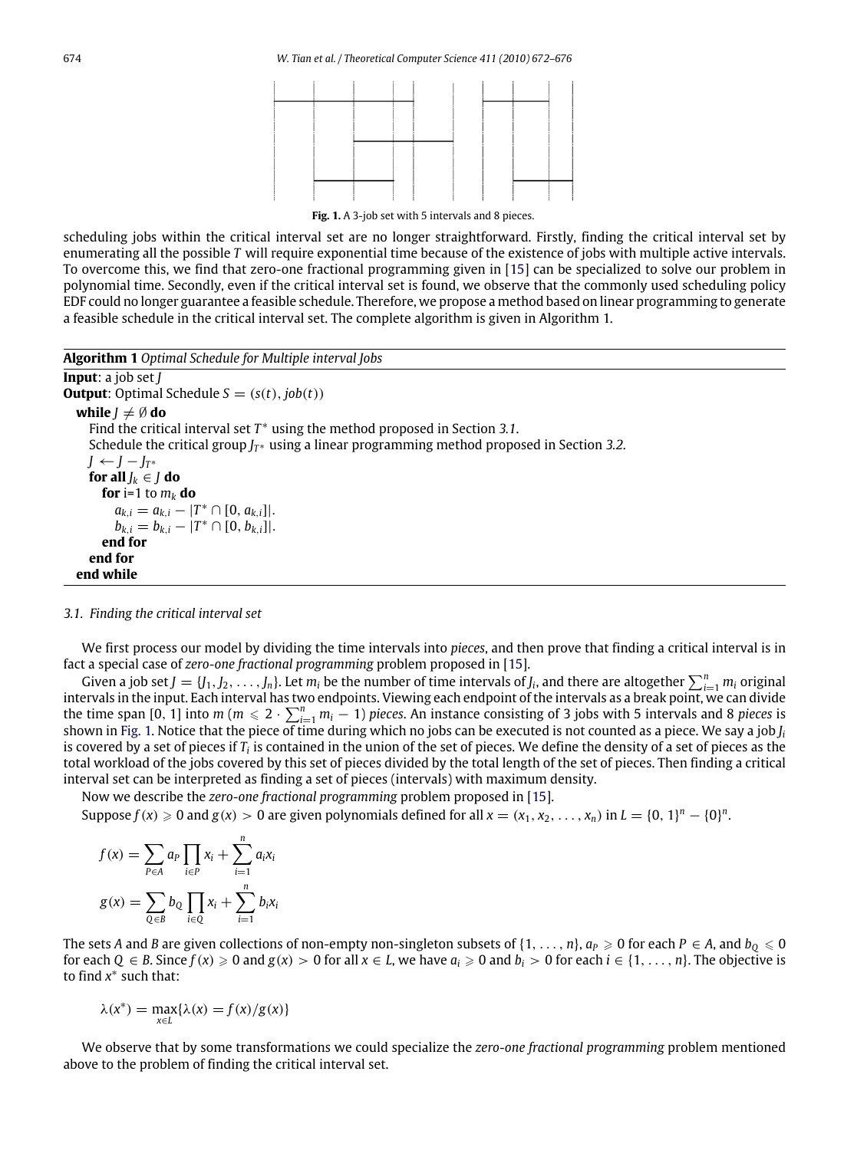

<span id="page-2-0"></span>**Fig. 1.** A 3-job set with 5 intervals and 8 pieces.

scheduling jobs within the critical interval set are no longer straightforward. Firstly, finding the critical interval set by enumerating all the possible *T* will require exponential time because of the existence of jobs with multiple active intervals. To overcome this, we find that zero-one fractional programming given in [\[15\]](#page-4-10) can be specialized to solve our problem in polynomial time. Secondly, even if the critical interval set is found, we observe that the commonly used scheduling policy EDF could no longer guarantee a feasible schedule. Therefore, we propose a method based on linear programming to generate a feasible schedule in the critical interval set. The complete algorithm is given in Algorithm 1.

```
Algorithm 1 Optimal Schedule for Multiple interval Jobs
Input: a job set J
Output: Optimal Schedule S = (s(t), job(t))while J \neq \emptyset do
     Find the critical interval set T
∗ using the method proposed in Section 3.1.
     Schedule the critical group JT
∗ using a linear programming method proposed in Section 3.2.
     J ← J − JT
∗
    for all J_k \in J do
       for i=1 to m_k do
          a_{k,i} = a_{k,i} - |T^* \cap [0, a_{k,i}]|.b_{k,i} = b_{k,i} - |T^* \cap [0, b_{k,i}]|.end for
     end for
  end while
```
#### <span id="page-2-2"></span>*3.1. Finding the critical interval set*

We first process our model by dividing the time intervals into *pieces*, and then prove that finding a critical interval is in fact a special case of *zero-one fractional programming* problem proposed in [\[15\]](#page-4-10).

Given a job set  $J = \{J_1, J_2, \ldots, J_n\}$ . Let  $m_i$  be the number of time intervals of  $J_i$ , and there are altogether  $\sum_{i=1}^n m_i$  original intervals in the input. Each interval has two endpoints. Viewing each endpoint of the intervals as a break point, we can divide the time span [0, 1] into  $m (m \leq 2 \cdot \sum_{i=1}^n m_i - 1)$  pieces. An instance consisting of 3 jobs with 5 intervals and 8 pieces is shown in [Fig.](#page-2-0) [1.](#page-2-0) Notice that the piece of time during which no jobs can be executed is not counted as a piece. We say a job *J<sup>i</sup>* is covered by a set of pieces if  $T_i$  is contained in the union of the set of pieces. We define the density of a set of pieces as the total workload of the jobs covered by this set of pieces divided by the total length of the set of pieces. Then finding a critical interval set can be interpreted as finding a set of pieces (intervals) with maximum density.

Now we describe the *zero-one fractional programming* problem proposed in [\[15\]](#page-4-10).

Suppose  $f(x) \ge 0$  and  $g(x) > 0$  are given polynomials defined for all  $x = (x_1, x_2, \ldots, x_n)$  in  $L = \{0, 1\}^n - \{0\}^n$ .

$$
f(x) = \sum_{P \in A} a_P \prod_{i \in P} x_i + \sum_{i=1}^n a_i x_i
$$

$$
g(x) = \sum_{Q \in B} b_Q \prod_{i \in Q} x_i + \sum_{i=1}^n b_i x_i
$$

The sets *A* and *B* are given collections of non-empty non-singleton subsets of  $\{1, \ldots, n\}$ ,  $a_P \ge 0$  for each  $P \in A$ , and  $b_Q \le 0$ for each  $Q \in B$ . Since  $f(x) \ge 0$  and  $g(x) > 0$  for all  $x \in L$ , we have  $a_i \ge 0$  and  $b_i > 0$  for each  $i \in \{1, \ldots, n\}$ . The objective is to find *x* ∗ such that:

$$
\lambda(x^*) = \max_{x \in L} \{ \lambda(x) = f(x) / g(x) \}
$$

We observe that by some transformations we could specialize the *zero-one fractional programming* problem mentioned above to the problem of finding the critical interval set.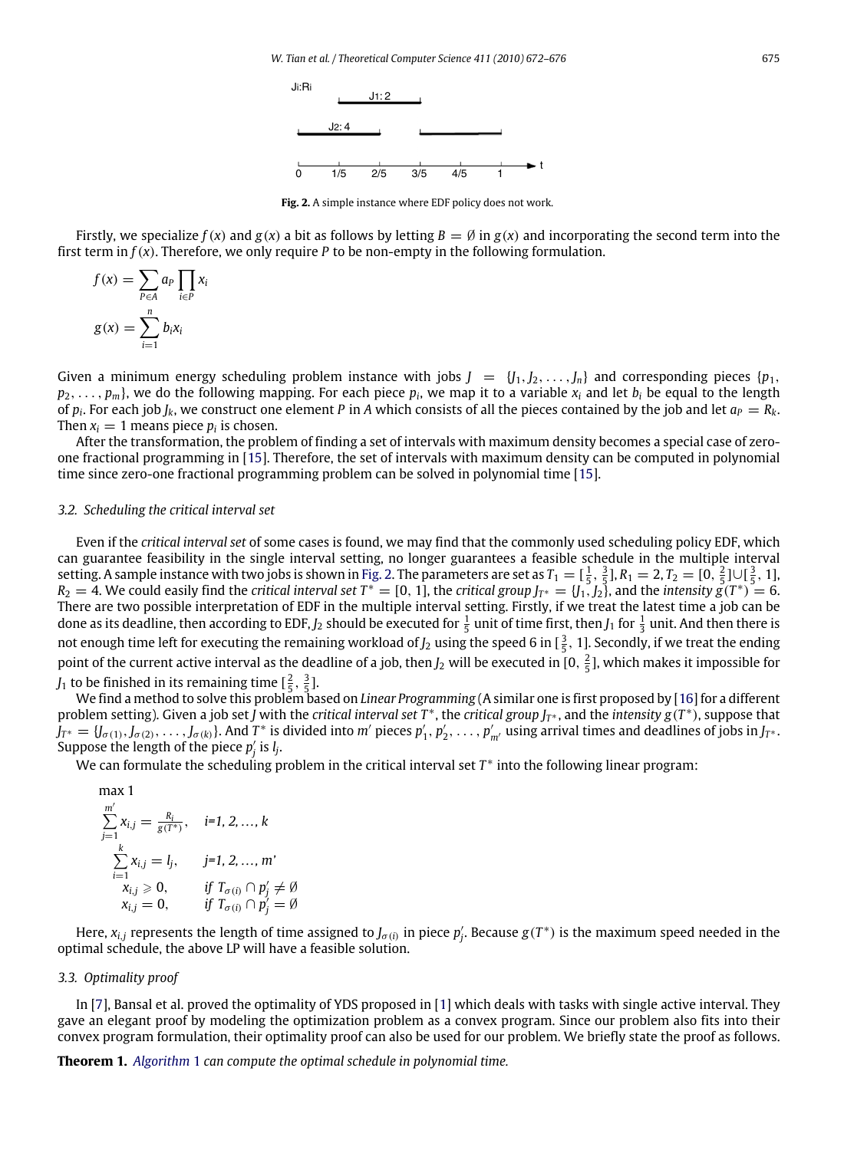

<span id="page-3-0"></span>**Fig. 2.** A simple instance where EDF policy does not work.

Firstly, we specialize  $f(x)$  and  $g(x)$  a bit as follows by letting  $B = \emptyset$  in  $g(x)$  and incorporating the second term into the first term in  $f(x)$ . Therefore, we only require P to be non-empty in the following formulation.

$$
f(x) = \sum_{P \in A} a_P \prod_{i \in P} x_i
$$

$$
g(x) = \sum_{i=1}^n b_i x_i
$$

Given a minimum energy scheduling problem instance with jobs  $J = \{J_1, J_2, \ldots, J_n\}$  and corresponding pieces  $\{p_1, p_2, \ldots, p_n\}$  $p_2, \ldots, p_m$ }, we do the following mapping. For each piece  $p_i$ , we map it to a variable  $x_i$  and let  $b_i$  be equal to the length of  $p_i$ . For each job  $J_k$ , we construct one element P in A which consists of all the pieces contained by the job and let  $a_P = R_k$ . Then  $x_i = 1$  means piece  $p_i$  is chosen.

After the transformation, the problem of finding a set of intervals with maximum density becomes a special case of zeroone fractional programming in [\[15\]](#page-4-10). Therefore, the set of intervals with maximum density can be computed in polynomial time since zero-one fractional programming problem can be solved in polynomial time [\[15\]](#page-4-10).

#### *3.2. Scheduling the critical interval set*

Even if the *critical interval set* of some cases is found, we may find that the commonly used scheduling policy EDF, which can guarantee feasibility in the single interval setting, no longer guarantees a feasible schedule in the multiple interval setting. A sample instance with two jobs is shown in [Fig.](#page-3-0) [2.](#page-3-0) The parameters are set as  $T_1 = \left[\frac{1}{5}, \frac{3}{5}\right]$ ,  $R_1 = 2$ ,  $T_2 = \left[0, \frac{2}{5}\right] \cup \left[\frac{3}{5}, 1\right]$ ,  $R_2 = 4$ . We could easily find the *critical interval set*  $T^* = [0, 1]$ , the *critical group*  $J_{T^*} = \{J_1, J_2\}$ , and the *intensity*  $g(T^*) = 6$ . There are two possible interpretation of EDF in the multiple interval setting. Firstly, if we treat the latest time a job can be done as its deadline, then according to EDF,  $J_2$  should be executed for  $\frac{1}{5}$  unit of time first, then  $J_1$  for  $\frac{1}{3}$  unit. And then there is not enough time left for executing the remaining workload of  $J_2$  using the speed 6 in  $[\frac{3}{5}, 1]$ . Secondly, if we treat the ending point of the current active interval as the deadline of a job, then  $J_2$  will be executed in [0,  $\frac{2}{5}$ ], which makes it impossible for  $J_1$  to be finished in its remaining time  $\left[\frac{2}{5}, \frac{3}{5}\right]$ .

We find a method to solve this problem based on *Linear Programming* (A similar one is first proposed by [\[16\]](#page-4-11) for a different problem setting). Given a job set *J* with the *critical interval set T*<sup>\*</sup>, the *critical group J*<sub>T</sub><sup>∗</sup>, and the *intensity*  $g(T^*)$ , suppose that  $J_{T^*} = \{J_{\sigma(1)}, J_{\sigma(2)}, \ldots, J_{\sigma(k)}\}$ . And  $T^*$  is divided into m' pieces  $p'_1, p'_2, \ldots, p'_{m'}$  using arrival times and deadlines of jobs in  $J_{T^*}$ . Suppose the length of the piece  $p'_j$  is  $l_j$ .

We can formulate the scheduling problem in the critical interval set *T* ∗ into the following linear program:

$$
\max 1
$$
\n
$$
\sum_{j=1}^{m'} x_{i,j} = \frac{R_i}{g(T^*)}, \quad i=1, 2, ..., k
$$
\n
$$
\sum_{i=1}^{k} x_{i,j} = l_j, \quad j=1, 2, ..., m'
$$
\n
$$
x_{i,j} \ge 0, \quad if T_{\sigma(i)} \cap p'_j \ne \emptyset
$$
\n
$$
x_{i,j} = 0, \quad if T_{\sigma(i)} \cap p'_j = \emptyset
$$

Here,  $x_{i,j}$  represents the length of time assigned to  $J_{\sigma(i)}$  in piece  $p'_j$ . Because  $g(T^*)$  is the maximum speed needed in the optimal schedule, the above LP will have a feasible solution.

#### *3.3. Optimality proof*

In [\[7\]](#page-4-7), Bansal et al. proved the optimality of YDS proposed in [\[1\]](#page-4-1) which deals with tasks with single active interval. They gave an elegant proof by modeling the optimization problem as a convex program. Since our problem also fits into their convex program formulation, their optimality proof can also be used for our problem. We briefly state the proof as follows.

**Theorem 1.** *[Algorithm](#page-2-1)* [1](#page-2-1) *can compute the optimal schedule in polynomial time.*